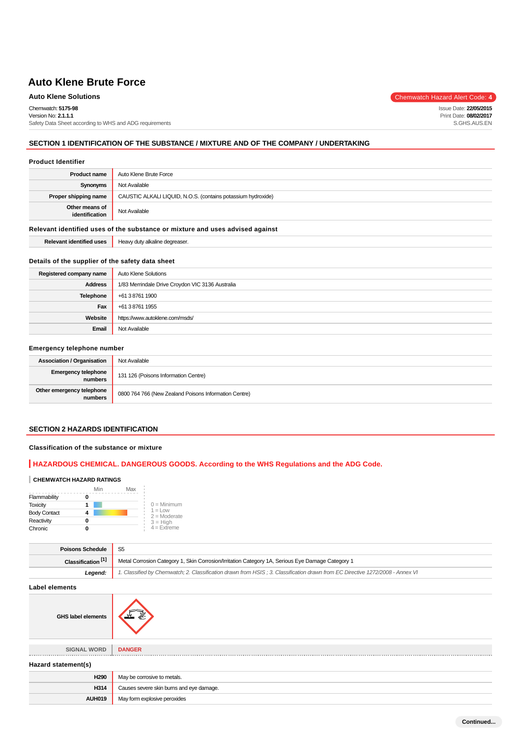# **Auto Klene Solutions** Chemwatch Hazard Alert Code: 4

Chemwatch: **5175-98**

Version No: **2.1.1.1** Safety Data Sheet according to WHS and ADG requirements

## **SECTION 1 IDENTIFICATION OF THE SUBSTANCE / MIXTURE AND OF THE COMPANY / UNDERTAKING**

#### **Product Identifier**

| <b>Product name</b>                                                           | Auto Klene Brute Force                                       |  |
|-------------------------------------------------------------------------------|--------------------------------------------------------------|--|
| Synonyms                                                                      | Not Available                                                |  |
| Proper shipping name                                                          | CAUSTIC ALKALI LIQUID, N.O.S. (contains potassium hydroxide) |  |
| Other means of<br>identification                                              | Not Available                                                |  |
| Relevant identified uses of the substance or mixture and uses advised against |                                                              |  |
| <b>Relevant identified uses</b>                                               | Heavy duty alkaline degreaser.                               |  |

#### **Details of the supplier of the safety data sheet**

| Registered company name | Auto Klene Solutions                             |
|-------------------------|--------------------------------------------------|
| <b>Address</b>          | 1/83 Merrindale Drive Croydon VIC 3136 Australia |
| Telephone               | +61 3 8761 1900                                  |
| Fax                     | +61 3 8761 1955                                  |
| Website                 | https://www.autoklene.com/msds/                  |
| Email                   | Not Available                                    |

## **Emergency telephone number**

| <b>Association / Organisation</b>     | Not Available                                         |
|---------------------------------------|-------------------------------------------------------|
| <b>Emergency telephone</b><br>numbers | 131 126 (Poisons Information Centre)                  |
| Other emergency telephone<br>numbers  | 0800 764 766 (New Zealand Poisons Information Centre) |

# **SECTION 2 HAZARDS IDENTIFICATION**

## **Classification of the substance or mixture**

## **HAZARDOUS CHEMICAL. DANGEROUS GOODS. According to the WHS Regulations and the ADG Code.**

#### **CHEMWATCH HAZARD RATINGS**

|                     | Min | Max |                              |
|---------------------|-----|-----|------------------------------|
| Flammability        |     |     |                              |
| <b>Toxicity</b>     |     |     | $0 =$ Minimum                |
| <b>Body Contact</b> |     |     | $1 = 1$ ow<br>$2 =$ Moderate |
| Reactivity          |     |     | $3 = High$                   |
| Chronic             |     |     | $4 = Ex$ freme               |

| <b>Poisons Schedule</b>       |                                                                                                                               |  |
|-------------------------------|-------------------------------------------------------------------------------------------------------------------------------|--|
| Classification <sup>[1]</sup> | Metal Corrosion Category 1, Skin Corrosion/Irritation Category 1A, Serious Eye Damage Category 1                              |  |
| Legend                        | 1. Classified by Chemwatch; 2. Classification drawn from HSIS; 3. Classification drawn from EC Directive 1272/2008 - Annex VI |  |

#### **Label elements**

**GHS label elements**



**SIGNAL WORD DANGER**

| Hazard statement(s) |                                          |  |
|---------------------|------------------------------------------|--|
| H <sub>290</sub>    | May be corrosive to metals.              |  |
| H314                | Causes severe skin burns and eye damage. |  |
| <b>AUH019</b>       | May form explosive peroxides             |  |
|                     |                                          |  |

Issue Date: **22/05/2015** Print Date: **08/02/2017** S.GHS.AUS.EN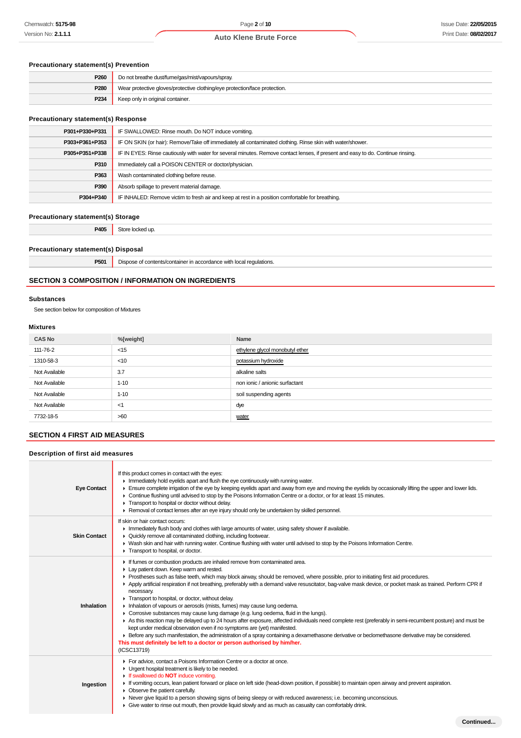# **Precautionary statement(s) Prevention**

| P260             | Do not breathe dust/fume/gas/mist/vapours/spray.                           |
|------------------|----------------------------------------------------------------------------|
| P280             | Wear protective gloves/protective clothing/eye protection/face protection. |
| P <sub>234</sub> | Keep only in original container.                                           |

## **Precautionary statement(s) Response**

| , recaditorially statements) itesponse |                                                                                                                                  |  |
|----------------------------------------|----------------------------------------------------------------------------------------------------------------------------------|--|
| P301+P330+P331                         | IF SWALLOWED: Rinse mouth. Do NOT induce vomiting.                                                                               |  |
| P303+P361+P353                         | IF ON SKIN (or hair): Remove/Take off immediately all contaminated clothing. Rinse skin with water/shower.                       |  |
| P305+P351+P338                         | IF IN EYES: Rinse cautiously with water for several minutes. Remove contact lenses, if present and easy to do. Continue rinsing. |  |
| P310                                   | Immediately call a POISON CENTER or doctor/physician.                                                                            |  |
| P363                                   | Wash contaminated clothing before reuse.                                                                                         |  |
| P390                                   | Absorb spillage to prevent material damage.                                                                                      |  |
| P304+P340                              | IF INHALED: Remove victim to fresh air and keep at rest in a position comfortable for breathing.                                 |  |
|                                        |                                                                                                                                  |  |

## **Precautionary statement(s) Storage**

**P405** Store locked up.

# **Precautionary statement(s) Disposal**

**P501** Dispose of contents/container in accordance with local regulations.

## **SECTION 3 COMPOSITION / INFORMATION ON INGREDIENTS**

#### **Substances**

See section below for composition of Mixtures

## **Mixtures**

| <b>CAS No</b> | %[weight] | Name                            |
|---------------|-----------|---------------------------------|
| 111-76-2      | $<$ 15    | ethylene glycol monobutyl ether |
| 1310-58-3     | $<$ 10    | potassium hydroxide             |
| Not Available | 3.7       | alkaline salts                  |
| Not Available | $1 - 10$  | non ionic / anionic surfactant  |
| Not Available | $1 - 10$  | soil suspending agents          |
| Not Available | <1        | dye                             |
| 7732-18-5     | >60       | water                           |

## **SECTION 4 FIRST AID MEASURES**

## **Description of first aid measures**

| <b>Eye Contact</b>  | If this product comes in contact with the eyes:<br>Inmediately hold eyelids apart and flush the eye continuously with running water.<br>Ensure complete irrigation of the eye by keeping eyelids apart and away from eye and moving the eyelids by occasionally lifting the upper and lower lids.<br>▶ Continue flushing until advised to stop by the Poisons Information Centre or a doctor, or for at least 15 minutes.<br>Transport to hospital or doctor without delay.<br>► Removal of contact lenses after an eye injury should only be undertaken by skilled personnel.                                                                                                                                                                                                                                                                                                                                                                                                                                                                                                                                                                                    |
|---------------------|-------------------------------------------------------------------------------------------------------------------------------------------------------------------------------------------------------------------------------------------------------------------------------------------------------------------------------------------------------------------------------------------------------------------------------------------------------------------------------------------------------------------------------------------------------------------------------------------------------------------------------------------------------------------------------------------------------------------------------------------------------------------------------------------------------------------------------------------------------------------------------------------------------------------------------------------------------------------------------------------------------------------------------------------------------------------------------------------------------------------------------------------------------------------|
| <b>Skin Contact</b> | If skin or hair contact occurs:<br>In Immediately flush body and clothes with large amounts of water, using safety shower if available.<br>• Quickly remove all contaminated clothing, including footwear.<br>IN Wash skin and hair with running water. Continue flushing with water until advised to stop by the Poisons Information Centre.<br>Transport to hospital, or doctor,                                                                                                                                                                                                                                                                                                                                                                                                                                                                                                                                                                                                                                                                                                                                                                                |
| Inhalation          | If fumes or combustion products are inhaled remove from contaminated area.<br>Lay patient down. Keep warm and rested.<br>► Prostheses such as false teeth, which may block airway, should be removed, where possible, prior to initiating first aid procedures.<br>▶ Apply artificial respiration if not breathing, preferably with a demand valve resuscitator, bag-valve mask device, or pocket mask as trained. Perform CPR if<br>necessary.<br>Transport to hospital, or doctor, without delay.<br>Inhalation of vapours or aerosols (mists, fumes) may cause lung oedema.<br>• Corrosive substances may cause lung damage (e.g. lung oedema, fluid in the lungs).<br>As this reaction may be delayed up to 24 hours after exposure, affected individuals need complete rest (preferably in semi-recumbent posture) and must be<br>kept under medical observation even if no symptoms are (yet) manifested.<br>Effore any such manifestation, the administration of a spray containing a dexamethasone derivative or beclomethasone derivative may be considered.<br>This must definitely be left to a doctor or person authorised by him/her.<br>(ICSC13719) |
| Ingestion           | For advice, contact a Poisons Information Centre or a doctor at once.<br>• Urgent hospital treatment is likely to be needed.<br>If swallowed do <b>NOT</b> induce vomiting.<br>If vomiting occurs, lean patient forward or place on left side (head-down position, if possible) to maintain open airway and prevent aspiration.<br>• Observe the patient carefully.<br>▶ Never give liquid to a person showing signs of being sleepy or with reduced awareness; i.e. becoming unconscious.<br>• Give water to rinse out mouth, then provide liquid slowly and as much as casualty can comfortably drink.                                                                                                                                                                                                                                                                                                                                                                                                                                                                                                                                                          |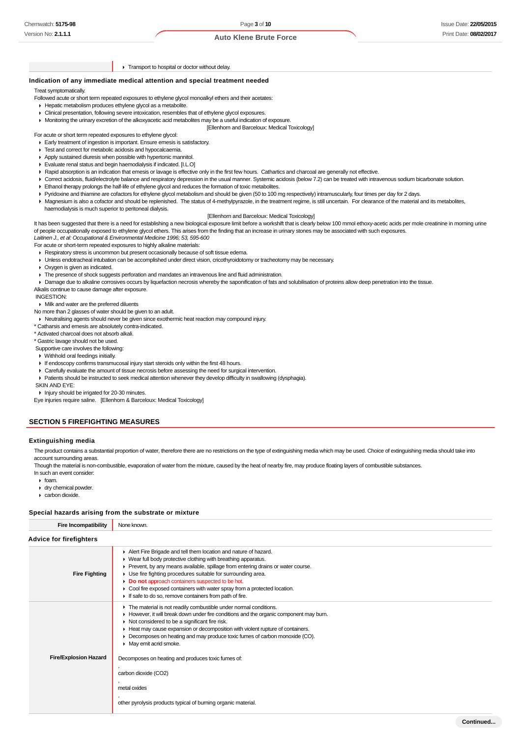#### **F** Transport to hospital or doctor without delay.

### **Indication of any immediate medical attention and special treatment needed**

Treat symptomatically.

- Followed acute or short term repeated exposures to ethylene glycol monoalkyl ethers and their acetates:
	- Hepatic metabolism produces ethylene glycol as a metabolite.
	- Clinical presentation, following severe intoxication, resembles that of ethylene glycol exposures.
	- Monitoring the urinary excretion of the alkoxyacetic acid metabolites may be a useful indication of exposure.
		- [Ellenhorn and Barceloux: Medical Toxicology]

For acute or short term repeated exposures to ethylene glycol:

- Early treatment of ingestion is important. Ensure emesis is satisfactory.
- Test and correct for metabolic acidosis and hypocalcaemia.
- Apply sustained diuresis when possible with hypertonic mannitol.
- Evaluate renal status and begin haemodialysis if indicated. [I.L.O]
- Rapid absorption is an indication that emesis or lavage is effective only in the first few hours. Cathartics and charcoal are generally not effective.
- Correct acidosis, fluid/electrolyte balance and respiratory depression in the usual manner. Systemic acidosis (below 7.2) can be treated with intravenous sodium bicarbonate solution.
- Ethanol therapy prolongs the half-life of ethylene glycol and reduces the formation of toxic metabolites.
- Pyridoxine and thiamine are cofactors for ethylene glycol metabolism and should be given (50 to 100 mg respectively) intramuscularly, four times per day for 2 days.
- Magnesium is also a cofactor and should be replenished. The status of 4-methylpyrazole, in the treatment regime, is still uncertain. For clearance of the material and its metabolites, haemodialysis is much superior to peritoneal dialysis.

#### [Ellenhorn and Barceloux: Medical Toxicology]

It has been suggested that there is a need for establishing a new biological exposure limit before a workshift that is clearly below 100 mmol ethoxy-acetic acids per mole creatinine in morning urine of people occupationally exposed to ethylene glycol ethers. This arises from the finding that an increase in urinary stones may be associated with such exposures. Laitinen J., et al: Occupational & Environmental Medicine 1996; 53, 595-600

For acute or short-term repeated exposures to highly alkaline materials:

- Respiratory stress is uncommon but present occasionally because of soft tissue edema.
- Unless endotracheal intubation can be accomplished under direct vision, cricothyroidotomy or tracheotomy may be necessary.
- Oxygen is given as indicated.
- The presence of shock suggests perforation and mandates an intravenous line and fluid administration.
- Damage due to alkaline corrosives occurs by liquefaction necrosis whereby the saponification of fats and solubilisation of proteins allow deep penetration into the tissue.
- Alkalis continue to cause damage after exposure.

#### INGESTION:

Milk and water are the preferred diluents

No more than 2 glasses of water should be given to an adult.

- Neutralising agents should never be given since exothermic heat reaction may compound injury.
- \* Catharsis and emesis are absolutely contra-indicated.
- \* Activated charcoal does not absorb alkali.
- \* Gastric lavage should not be used.
- Supportive care involves the following:
- Withhold oral feedings initially.
- If endoscopy confirms transmucosal injury start steroids only within the first 48 hours.
- Carefully evaluate the amount of tissue necrosis before assessing the need for surgical intervention.
- Patients should be instructed to seek medical attention whenever they develop difficulty in swallowing (dysphagia).

SKIN AND EYE:

- Injury should be irrigated for 20-30 minutes.
- Eye injuries require saline. [Ellenhorn & Barceloux: Medical Toxicology]

## **SECTION 5 FIREFIGHTING MEASURES**

#### **Extinguishing media**

The product contains a substantial proportion of water, therefore there are no restrictions on the type of extinguishing media which may be used. Choice of extinguishing media should take into account surrounding areas.

Though the material is non-combustible, evaporation of water from the mixture, caused by the heat of nearby fire, may produce floating layers of combustible substances.

- In such an event consider:
- $\triangleright$  foam.
- dry chemical powder.
- carbon dioxide.

| Special hazards arising from the substrate or mixture |                                                                                                                                                                                                                                                                                                                                                                                                                                                                                                                                                                                           |  |
|-------------------------------------------------------|-------------------------------------------------------------------------------------------------------------------------------------------------------------------------------------------------------------------------------------------------------------------------------------------------------------------------------------------------------------------------------------------------------------------------------------------------------------------------------------------------------------------------------------------------------------------------------------------|--|
| <b>Fire Incompatibility</b>                           | None known.                                                                                                                                                                                                                                                                                                                                                                                                                                                                                                                                                                               |  |
| <b>Advice for firefighters</b>                        |                                                                                                                                                                                                                                                                                                                                                                                                                                                                                                                                                                                           |  |
| <b>Fire Fighting</b>                                  | Alert Fire Brigade and tell them location and nature of hazard.<br>▶ Wear full body protective clothing with breathing apparatus.<br>Prevent, by any means available, spillage from entering drains or water course.<br>• Use fire fighting procedures suitable for surrounding area.<br>Do not approach containers suspected to be hot.<br>• Cool fire exposed containers with water spray from a protected location.<br>If safe to do so, remove containers from path of fire.                                                                                                          |  |
| <b>Fire/Explosion Hazard</b>                          | The material is not readily combustible under normal conditions.<br>However, it will break down under fire conditions and the organic component may burn.<br>Not considered to be a significant fire risk.<br>Heat may cause expansion or decomposition with violent rupture of containers.<br>▶ Decomposes on heating and may produce toxic fumes of carbon monoxide (CO).<br>$\blacktriangleright$ May emit acrid smoke.<br>Decomposes on heating and produces toxic fumes of:<br>carbon dioxide (CO2)<br>metal oxides<br>other pyrolysis products typical of burning organic material. |  |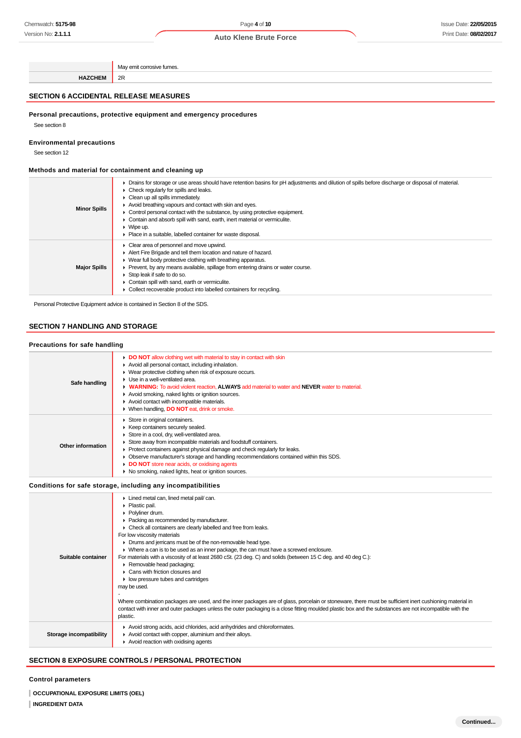**HAZCHEM** 2R

#### **SECTION 6 ACCIDENTAL RELEASE MEASURES**

## **Personal precautions, protective equipment and emergency procedures**

May emit corrosive fumes.

See section 8

#### **Environmental precautions**

See section 12

## **Methods and material for containment and cleaning up**

| <b>Minor Spills</b> | ► Drains for storage or use areas should have retention basins for pH adjustments and dilution of spills before discharge or disposal of material.<br>$\triangleright$ Check regularly for spills and leaks.<br>Clean up all spills immediately.<br>Avoid breathing vapours and contact with skin and eyes.<br>$\triangleright$ Control personal contact with the substance, by using protective equipment.<br>Contain and absorb spill with sand, earth, inert material or vermiculite.<br>$\triangleright$ Wipe up.<br>• Place in a suitable, labelled container for waste disposal. |
|---------------------|----------------------------------------------------------------------------------------------------------------------------------------------------------------------------------------------------------------------------------------------------------------------------------------------------------------------------------------------------------------------------------------------------------------------------------------------------------------------------------------------------------------------------------------------------------------------------------------|
| <b>Major Spills</b> | • Clear area of personnel and move upwind.<br>Alert Fire Brigade and tell them location and nature of hazard.<br>▶ Wear full body protective clothing with breathing apparatus.<br>► Prevent, by any means available, spillage from entering drains or water course.<br>Stop leak if safe to do so.<br>Contain spill with sand, earth or vermiculite.<br>• Collect recoverable product into labelled containers for recycling.                                                                                                                                                         |

Personal Protective Equipment advice is contained in Section 8 of the SDS.

# **SECTION 7 HANDLING AND STORAGE**

## **Precautions for safe handling**

|                   | DO NOT allow clothing wet with material to stay in contact with skin<br>Avoid all personal contact, including inhalation. |
|-------------------|---------------------------------------------------------------------------------------------------------------------------|
| Safe handling     | • Wear protective clothing when risk of exposure occurs.                                                                  |
|                   | • Use in a well-ventilated area.                                                                                          |
|                   | • WARNING: To avoid violent reaction, ALWAYS add material to water and NEVER water to material.                           |
|                   | Avoid smoking, naked lights or ignition sources.                                                                          |
|                   | Avoid contact with incompatible materials.                                                                                |
|                   | ▶ When handling, <b>DO NOT</b> eat, drink or smoke.                                                                       |
|                   | Store in original containers.                                                                                             |
|                   | ▶ Keep containers securely sealed.                                                                                        |
| Other information | Store in a cool, dry, well-ventilated area.                                                                               |
|                   | Store away from incompatible materials and foodstuff containers.                                                          |
|                   | ▶ Protect containers against physical damage and check regularly for leaks.                                               |
|                   | Observe manufacturer's storage and handling recommendations contained within this SDS.                                    |
|                   | <b>DO NOT</b> store near acids, or oxidising agents                                                                       |
|                   | ▶ No smoking, naked lights, heat or ignition sources.                                                                     |
|                   |                                                                                                                           |
|                   | Conditions for safe storage, including any incompatibilities                                                              |

| Suitable container      | Lined metal can, lined metal pail/can.<br>• Plastic pail.<br>• Polyliner drum.<br>• Packing as recommended by manufacturer.<br>• Check all containers are clearly labelled and free from leaks.<br>For low viscosity materials<br>• Drums and jerricans must be of the non-removable head type.<br>• Where a can is to be used as an inner package, the can must have a screwed enclosure.<br>For materials with a viscosity of at least 2680 cSt. (23 deg. C) and solids (between 15 C deg. and 40 deg C.):<br>Removable head packaging;<br>Cans with friction closures and<br>• low pressure tubes and cartridges<br>may be used.<br>Where combination packages are used, and the inner packages are of glass, porcelain or stoneware, there must be sufficient inert cushioning material in<br>contact with inner and outer packages unless the outer packaging is a close fitting moulded plastic box and the substances are not incompatible with the<br>plastic. |
|-------------------------|------------------------------------------------------------------------------------------------------------------------------------------------------------------------------------------------------------------------------------------------------------------------------------------------------------------------------------------------------------------------------------------------------------------------------------------------------------------------------------------------------------------------------------------------------------------------------------------------------------------------------------------------------------------------------------------------------------------------------------------------------------------------------------------------------------------------------------------------------------------------------------------------------------------------------------------------------------------------|
| Storage incompatibility | Avoid strong acids, acid chlorides, acid anhydrides and chloroformates.<br>Avoid contact with copper, aluminium and their alloys.<br>$\blacktriangleright$ Avoid reaction with oxidising agents                                                                                                                                                                                                                                                                                                                                                                                                                                                                                                                                                                                                                                                                                                                                                                        |

# **SECTION 8 EXPOSURE CONTROLS / PERSONAL PROTECTION**

## **Control parameters**

**OCCUPATIONAL EXPOSURE LIMITS (OEL)**

## **INGREDIENT DATA**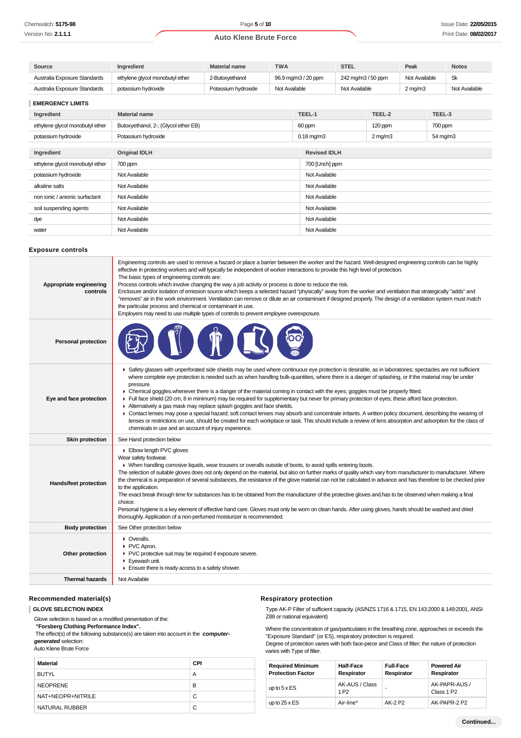| Source                          | Ingredient                           | <b>Material name</b> | <b>TWA</b>    |                     | <b>STEL</b>        |                  | Peak          |          | <b>Notes</b>  |
|---------------------------------|--------------------------------------|----------------------|---------------|---------------------|--------------------|------------------|---------------|----------|---------------|
| Australia Exposure Standards    | ethylene glycol monobutyl ether      | 2-Butoxyethanol      |               | 96.9 mg/m3 / 20 ppm | 242 mg/m3 / 50 ppm |                  | Not Available |          | <b>Sk</b>     |
| Australia Exposure Standards    | potassium hydroxide                  | Potassium hydroxide  | Not Available |                     | Not Available      |                  | $2$ mg/m $3$  |          | Not Available |
| <b>EMERGENCY LIMITS</b>         |                                      |                      |               |                     |                    |                  |               |          |               |
| Ingredient                      | <b>Material name</b>                 |                      |               | TEEL-1              |                    | TEEL-2           |               | TEEL-3   |               |
| ethylene glycol monobutyl ether | Butoxyethanol, 2-; (Glycol ether EB) |                      |               | 60 ppm              |                    | 120 ppm          |               | 700 ppm  |               |
| potassium hydroxide             | Potassium hydroxide                  |                      |               | $0.18$ mg/m $3$     |                    | $2 \text{ mg/m}$ |               | 54 mg/m3 |               |
|                                 |                                      |                      |               |                     |                    |                  |               |          |               |
| Ingredient                      | <b>Original IDLH</b>                 |                      |               | <b>Revised IDLH</b> |                    |                  |               |          |               |
| ethylene glycol monobutyl ether | 700 ppm                              |                      |               | 700 [Unch] ppm      |                    |                  |               |          |               |
| potassium hydroxide             | Not Available                        |                      |               | Not Available       |                    |                  |               |          |               |
| alkaline salts                  | Not Available                        |                      |               | Not Available       |                    |                  |               |          |               |
| non ionic / anionic surfactant  | Not Available                        |                      |               | Not Available       |                    |                  |               |          |               |
| soil suspending agents          | Not Available                        |                      |               | Not Available       |                    |                  |               |          |               |
| dye                             | Not Available                        |                      |               | Not Available       |                    |                  |               |          |               |
| water                           | Not Available                        |                      |               | Not Available       |                    |                  |               |          |               |

#### **Exposure controls**

| Appropriate engineering<br>controls | Engineering controls are used to remove a hazard or place a barrier between the worker and the hazard. Well-designed engineering controls can be highly<br>effective in protecting workers and will typically be independent of worker interactions to provide this high level of protection.<br>The basic types of engineering controls are:<br>Process controls which involve changing the way a job activity or process is done to reduce the risk.<br>Enclosure and/or isolation of emission source which keeps a selected hazard "physically" away from the worker and ventilation that strategically "adds" and<br>"removes" air in the work environment. Ventilation can remove or dilute an air contaminant if designed properly. The design of a ventilation system must match<br>the particular process and chemical or contaminant in use.<br>Employers may need to use multiple types of controls to prevent employee overexposure.                                                                                                                                         |
|-------------------------------------|-----------------------------------------------------------------------------------------------------------------------------------------------------------------------------------------------------------------------------------------------------------------------------------------------------------------------------------------------------------------------------------------------------------------------------------------------------------------------------------------------------------------------------------------------------------------------------------------------------------------------------------------------------------------------------------------------------------------------------------------------------------------------------------------------------------------------------------------------------------------------------------------------------------------------------------------------------------------------------------------------------------------------------------------------------------------------------------------|
| <b>Personal protection</b>          |                                                                                                                                                                                                                                                                                                                                                                                                                                                                                                                                                                                                                                                                                                                                                                                                                                                                                                                                                                                                                                                                                         |
| Eye and face protection             | ▶ Safety glasses with unperforated side shields may be used where continuous eye protection is desirable, as in laboratories; spectacles are not sufficient<br>where complete eye protection is needed such as when handling bulk-quantities, where there is a danger of splashing, or if the material may be under<br>pressure.<br>• Chemical goggles whenever there is a danger of the material coming in contact with the eyes; goggles must be properly fitted.<br>Full face shield (20 cm, 8 in minimum) may be required for supplementary but never for primary protection of eyes; these afford face protection.<br>Alternatively a gas mask may replace splash goggles and face shields.<br>• Contact lenses may pose a special hazard; soft contact lenses may absorb and concentrate irritants. A written policy document, describing the wearing of<br>lenses or restrictions on use, should be created for each workplace or task. This should include a review of lens absorption and adsorption for the class of<br>chemicals in use and an account of injury experience. |
| <b>Skin protection</b>              | See Hand protection below                                                                                                                                                                                                                                                                                                                                                                                                                                                                                                                                                                                                                                                                                                                                                                                                                                                                                                                                                                                                                                                               |
| Hands/feet protection               | Elbow length PVC gloves<br>Wear safety footwear.<br>• When handling corrosive liquids, wear trousers or overalls outside of boots, to avoid spills entering boots.<br>The selection of suitable gloves does not only depend on the material, but also on further marks of quality which vary from manufacturer to manufacturer. Where<br>the chemical is a preparation of several substances, the resistance of the glove material can not be calculated in advance and has therefore to be checked prior<br>to the application.<br>The exact break through time for substances has to be obtained from the manufacturer of the protective gloves and has to be observed when making a final<br>choice.<br>Personal hygiene is a key element of effective hand care. Gloves must only be worn on clean hands. After using gloves, hands should be washed and dried<br>thoroughly. Application of a non-perfumed moisturizer is recommended.                                                                                                                                             |
| <b>Body protection</b>              | See Other protection below                                                                                                                                                                                                                                                                                                                                                                                                                                                                                                                                                                                                                                                                                                                                                                                                                                                                                                                                                                                                                                                              |
| Other protection                    | • Overalls.<br>PVC Apron.<br>PVC protective suit may be required if exposure severe.<br>Eyewash unit.<br>Ensure there is ready access to a safety shower.                                                                                                                                                                                                                                                                                                                                                                                                                                                                                                                                                                                                                                                                                                                                                                                                                                                                                                                               |
| <b>Thermal hazards</b>              | Not Available                                                                                                                                                                                                                                                                                                                                                                                                                                                                                                                                                                                                                                                                                                                                                                                                                                                                                                                                                                                                                                                                           |

## **Recommended material(s)**

**GLOVE SELECTION INDEX**

Glove selection is based on a modified presentation of the:

 **"Forsberg Clothing Performance Index".**

 The effect(s) of the following substance(s) are taken into account in the **computergenerated** selection:

## Auto Klene Brute Force

| Material          | <b>CPI</b> |
|-------------------|------------|
| <b>BUTYL</b>      | А          |
| <b>NEOPRENE</b>   | в          |
| NAT+NEOPR+NITRILE | С          |
| NATURAL RUBBER    | C          |

## **Respiratory protection**

Type AK-P Filter of sufficient capacity. (AS/NZS 1716 & 1715, EN 143:2000 & 149:2001, ANSI Z88 or national equivalent)

Where the concentration of gas/particulates in the breathing zone, approaches or exceeds the "Exposure Standard" (or ES), respiratory protection is required. Degree of protection varies with both face-piece and Class of filter; the nature of protection varies with Type of filter.

| <b>Required Minimum</b><br><b>Protection Factor</b> | <b>Half-Face</b><br>Respirator     | <b>Full-Face</b><br>Respirator | <b>Powered Air</b><br>Respirator        |
|-----------------------------------------------------|------------------------------------|--------------------------------|-----------------------------------------|
| up to $5 \times ES$                                 | AK-AUS / Class<br>1 P <sub>2</sub> | -                              | AK-PAPR-AUS /<br>Class 1 P <sub>2</sub> |
| up to $25 \times ES$                                | Air-line*                          | AK-2 P2                        | AK-PAPR-2 P2                            |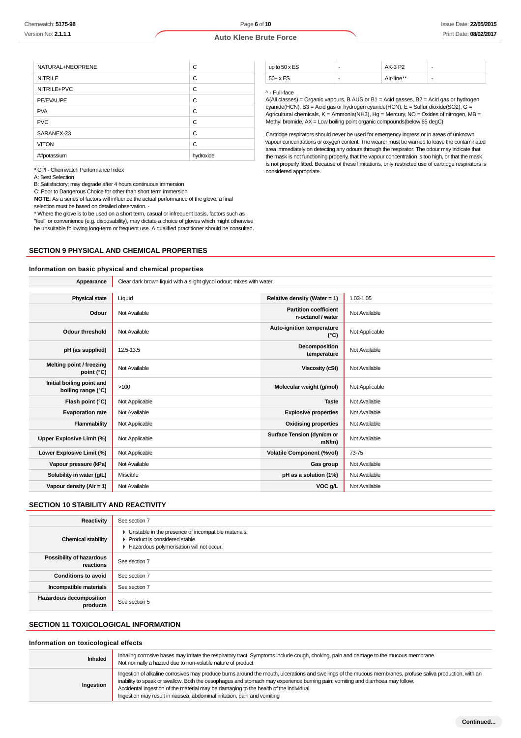Page **6** of **10**

## **Auto Klene Brute Force**

| NATURAL+NEOPRENE | C         |
|------------------|-----------|
| <b>NITRILE</b>   | C         |
| NITRILE+PVC      | C         |
| PE/EVAL/PE       | C         |
| <b>PVA</b>       | C         |
| <b>PVC</b>       | C         |
| SARANEX-23       | C         |
| <b>VITON</b>     | C         |
| ##potassium      | hydroxide |

\* CPI - Chemwatch Performance Index

A: Best Selection

B: Satisfactory; may degrade after 4 hours continuous immersion

C: Poor to Dangerous Choice for other than short term immersion

**NOTE**: As a series of factors will influence the actual performance of the glove, a final selection must be based on detailed observation. -

\* Where the glove is to be used on a short term, casual or infrequent basis, factors such as "feel" or convenience (e.g. disposability), may dictate a choice of gloves which might otherwise be unsuitable following long-term or frequent use. A qualified practitioner should be consulted.

#### **SECTION 9 PHYSICAL AND CHEMICAL PROPERTIES**

#### **Information on basic physical and chemical properties**

| up to $50 \times ES$ | - | AK-3 P2    |   |
|----------------------|---|------------|---|
| $50+ x ES$           | - | Air-line** | - |

#### ^ - Full-face

A(All classes) = Organic vapours, B AUS or B1 = Acid gasses, B2 = Acid gas or hydrogen cyanide(HCN), B3 = Acid gas or hydrogen cyanide(HCN), E = Sulfur dioxide(SO2), G = Agricultural chemicals, K = Ammonia(NH3), Hg = Mercury, NO = Oxides of nitrogen, MB = Methyl bromide, AX = Low boiling point organic compounds(below 65 degC)

Cartridge respirators should never be used for emergency ingress or in areas of unknown vapour concentrations or oxygen content. The wearer must be warned to leave the contaminated area immediately on detecting any odours through the respirator. The odour may indicate that the mask is not functioning properly, that the vapour concentration is too high, or that the mask is not properly fitted. Because of these limitations, only restricted use of cartridge respirators is considered appropriate.

| <b>Physical state</b><br>Liquid<br>Relative density (Water = 1)<br>1.03-1.05<br><b>Partition coefficient</b><br>Odour<br>Not Available<br>Not Available<br>n-octanol / water<br>Auto-ignition temperature<br>Not Applicable<br><b>Odour threshold</b><br>Not Available<br>$(^{\circ}C)$<br>Decomposition<br>12.5-13.5<br>Not Available<br>pH (as supplied)<br>temperature<br>Melting point / freezing<br>Not Available<br>Not Available<br><b>Viscosity (cSt)</b><br>point (°C)<br>Initial boiling point and<br>>100<br>Molecular weight (g/mol)<br>Not Applicable<br>boiling range (°C)<br>Flash point (°C)<br>Not Applicable<br>Not Available<br><b>Taste</b> | Appearance              | Clear dark brown liquid with a slight glycol odour; mixes with water. |                             |               |
|-----------------------------------------------------------------------------------------------------------------------------------------------------------------------------------------------------------------------------------------------------------------------------------------------------------------------------------------------------------------------------------------------------------------------------------------------------------------------------------------------------------------------------------------------------------------------------------------------------------------------------------------------------------------|-------------------------|-----------------------------------------------------------------------|-----------------------------|---------------|
|                                                                                                                                                                                                                                                                                                                                                                                                                                                                                                                                                                                                                                                                 |                         |                                                                       |                             |               |
|                                                                                                                                                                                                                                                                                                                                                                                                                                                                                                                                                                                                                                                                 |                         |                                                                       |                             |               |
|                                                                                                                                                                                                                                                                                                                                                                                                                                                                                                                                                                                                                                                                 |                         |                                                                       |                             |               |
|                                                                                                                                                                                                                                                                                                                                                                                                                                                                                                                                                                                                                                                                 |                         |                                                                       |                             |               |
|                                                                                                                                                                                                                                                                                                                                                                                                                                                                                                                                                                                                                                                                 |                         |                                                                       |                             |               |
|                                                                                                                                                                                                                                                                                                                                                                                                                                                                                                                                                                                                                                                                 |                         |                                                                       |                             |               |
|                                                                                                                                                                                                                                                                                                                                                                                                                                                                                                                                                                                                                                                                 |                         |                                                                       |                             |               |
|                                                                                                                                                                                                                                                                                                                                                                                                                                                                                                                                                                                                                                                                 |                         |                                                                       |                             |               |
|                                                                                                                                                                                                                                                                                                                                                                                                                                                                                                                                                                                                                                                                 | <b>Evaporation rate</b> | Not Available                                                         | <b>Explosive properties</b> | Not Available |
| Flammability<br>Not Applicable<br>Not Available<br><b>Oxidising properties</b>                                                                                                                                                                                                                                                                                                                                                                                                                                                                                                                                                                                  |                         |                                                                       |                             |               |
| Surface Tension (dyn/cm or<br>Not Available<br>Upper Explosive Limit (%)<br>Not Applicable<br>$mN/m$ )                                                                                                                                                                                                                                                                                                                                                                                                                                                                                                                                                          |                         |                                                                       |                             |               |
| Lower Explosive Limit (%)<br>Not Applicable<br><b>Volatile Component (%vol)</b><br>73-75                                                                                                                                                                                                                                                                                                                                                                                                                                                                                                                                                                        |                         |                                                                       |                             |               |
| Vapour pressure (kPa)<br>Not Available<br>Not Available<br>Gas group                                                                                                                                                                                                                                                                                                                                                                                                                                                                                                                                                                                            |                         |                                                                       |                             |               |
| Solubility in water (g/L)<br>Miscible<br>pH as a solution (1%)<br>Not Available                                                                                                                                                                                                                                                                                                                                                                                                                                                                                                                                                                                 |                         |                                                                       |                             |               |
| Vapour density ( $Air = 1$ )<br>Not Available<br>VOC g/L<br>Not Available                                                                                                                                                                                                                                                                                                                                                                                                                                                                                                                                                                                       |                         |                                                                       |                             |               |

## **SECTION 10 STABILITY AND REACTIVITY**

| Reactivity                            | See section 7                                                                                                                           |
|---------------------------------------|-----------------------------------------------------------------------------------------------------------------------------------------|
| <b>Chemical stability</b>             | Unstable in the presence of incompatible materials.<br>▸<br>▶ Product is considered stable.<br>Hazardous polymerisation will not occur. |
| Possibility of hazardous<br>reactions | See section 7                                                                                                                           |
| <b>Conditions to avoid</b>            | See section 7                                                                                                                           |
| Incompatible materials                | See section 7                                                                                                                           |
| Hazardous decomposition<br>products   | See section 5                                                                                                                           |

#### **SECTION 11 TOXICOLOGICAL INFORMATION**

#### **Information on toxicological effects**

**Inhaled** Inhaling corrosive bases may irritate the respiratory tract. Symptoms include cough, choking, pain and damage to the mucous membrane. Not normally a hazard due to non-volatile nature of product **Ingestion** Ingestion of alkaline corrosives may produce burns around the mouth, ulcerations and swellings of the mucous membranes, profuse saliva production, with an inability to speak or swallow. Both the oesophagus and stomach may experience burning pain; vomiting and diarrhoea may follow. Accidental ingestion of the material may be damaging to the health of the individual. Ingestion may result in nausea, abdominal irritation, pain and vomiting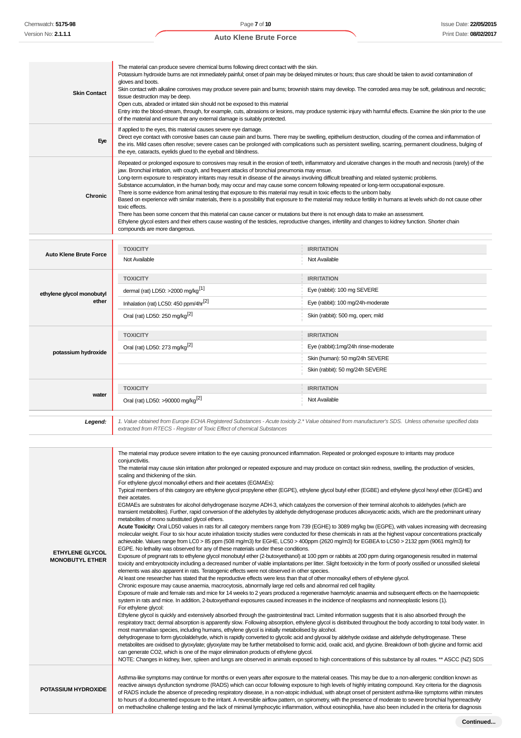| <b>Skin Contact</b>           | The material can produce severe chemical burns following direct contact with the skin.<br>Potassium hydroxide burns are not immediately painful; onset of pain may be delayed minutes or hours; thus care should be taken to avoid contamination of<br>gloves and boots.<br>Skin contact with alkaline corrosives may produce severe pain and burns; brownish stains may develop. The corroded area may be soft, gelatinous and necrotic;<br>tissue destruction may be deep.<br>Open cuts, abraded or irritated skin should not be exposed to this material<br>Entry into the blood-stream, through, for example, cuts, abrasions or lesions, may produce systemic injury with harmful effects. Examine the skin prior to the use<br>of the material and ensure that any external damage is suitably protected.                                                                                                                                                                                                                               |                                                                                                                                                                |  |  |
|-------------------------------|-----------------------------------------------------------------------------------------------------------------------------------------------------------------------------------------------------------------------------------------------------------------------------------------------------------------------------------------------------------------------------------------------------------------------------------------------------------------------------------------------------------------------------------------------------------------------------------------------------------------------------------------------------------------------------------------------------------------------------------------------------------------------------------------------------------------------------------------------------------------------------------------------------------------------------------------------------------------------------------------------------------------------------------------------|----------------------------------------------------------------------------------------------------------------------------------------------------------------|--|--|
| Eve                           | If applied to the eyes, this material causes severe eye damage.<br>Direct eye contact with corrosive bases can cause pain and burns. There may be swelling, epithelium destruction, clouding of the cornea and inflammation of<br>the iris. Mild cases often resolve; severe cases can be prolonged with complications such as persistent swelling, scarring, permanent cloudiness, bulging of<br>the eye, cataracts, eyelids glued to the eyeball and blindness.                                                                                                                                                                                                                                                                                                                                                                                                                                                                                                                                                                             |                                                                                                                                                                |  |  |
| <b>Chronic</b>                | jaw. Bronchial irritation, with cough, and frequent attacks of bronchial pneumonia may ensue.<br>Long-term exposure to respiratory irritants may result in disease of the airways involving difficult breathing and related systemic problems.<br>Substance accumulation, in the human body, may occur and may cause some concern following repeated or long-term occupational exposure.<br>There is some evidence from animal testing that exposure to this material may result in toxic effects to the unborn baby.<br>Based on experience with similar materials, there is a possibility that exposure to the material may reduce fertility in humans at levels which do not cause other<br>toxic effects.<br>There has been some concern that this material can cause cancer or mutations but there is not enough data to make an assessment.<br>Ethylene glycol esters and their ethers cause wasting of the testicles, reproductive changes, infertility and changes to kidney function. Shorter chain<br>compounds are more dangerous. | Repeated or prolonged exposure to corrosives may result in the erosion of teeth, inflammatory and ulcerative changes in the mouth and necrosis (rarely) of the |  |  |
|                               |                                                                                                                                                                                                                                                                                                                                                                                                                                                                                                                                                                                                                                                                                                                                                                                                                                                                                                                                                                                                                                               |                                                                                                                                                                |  |  |
| <b>Auto Klene Brute Force</b> | <b>TOXICITY</b><br>Not Available                                                                                                                                                                                                                                                                                                                                                                                                                                                                                                                                                                                                                                                                                                                                                                                                                                                                                                                                                                                                              | <b>IRRITATION</b><br>Not Available                                                                                                                             |  |  |
|                               |                                                                                                                                                                                                                                                                                                                                                                                                                                                                                                                                                                                                                                                                                                                                                                                                                                                                                                                                                                                                                                               |                                                                                                                                                                |  |  |
|                               | <b>TOXICITY</b>                                                                                                                                                                                                                                                                                                                                                                                                                                                                                                                                                                                                                                                                                                                                                                                                                                                                                                                                                                                                                               | <b>IRRITATION</b>                                                                                                                                              |  |  |
| ethylene glycol monobutyl     | dermal (rat) LD50: >2000 mg/kg <sup>[1]</sup>                                                                                                                                                                                                                                                                                                                                                                                                                                                                                                                                                                                                                                                                                                                                                                                                                                                                                                                                                                                                 | Eye (rabbit): 100 mg SEVERE                                                                                                                                    |  |  |
| ether                         | Inhalation (rat) LC50: 450 ppm/4hr <sup>[2]</sup>                                                                                                                                                                                                                                                                                                                                                                                                                                                                                                                                                                                                                                                                                                                                                                                                                                                                                                                                                                                             | Eye (rabbit): 100 mg/24h-moderate                                                                                                                              |  |  |
|                               | Oral (rat) LD50: 250 mg/kg <sup>[2]</sup>                                                                                                                                                                                                                                                                                                                                                                                                                                                                                                                                                                                                                                                                                                                                                                                                                                                                                                                                                                                                     | Skin (rabbit): 500 mg, open; mild                                                                                                                              |  |  |
|                               | <b>TOXICITY</b>                                                                                                                                                                                                                                                                                                                                                                                                                                                                                                                                                                                                                                                                                                                                                                                                                                                                                                                                                                                                                               | <b>IRRITATION</b>                                                                                                                                              |  |  |
|                               | Oral (rat) LD50: 273 mg/kg <sup>[2]</sup>                                                                                                                                                                                                                                                                                                                                                                                                                                                                                                                                                                                                                                                                                                                                                                                                                                                                                                                                                                                                     | Eye (rabbit):1mg/24h rinse-moderate                                                                                                                            |  |  |
| potassium hydroxide           |                                                                                                                                                                                                                                                                                                                                                                                                                                                                                                                                                                                                                                                                                                                                                                                                                                                                                                                                                                                                                                               | Skin (human): 50 mg/24h SEVERE                                                                                                                                 |  |  |
|                               |                                                                                                                                                                                                                                                                                                                                                                                                                                                                                                                                                                                                                                                                                                                                                                                                                                                                                                                                                                                                                                               | Skin (rabbit): 50 mg/24h SEVERE                                                                                                                                |  |  |
|                               | <b>TOXICITY</b>                                                                                                                                                                                                                                                                                                                                                                                                                                                                                                                                                                                                                                                                                                                                                                                                                                                                                                                                                                                                                               | <b>IRRITATION</b>                                                                                                                                              |  |  |
| water                         | Oral (rat) LD50: >90000 mg/kg <sup>[2]</sup>                                                                                                                                                                                                                                                                                                                                                                                                                                                                                                                                                                                                                                                                                                                                                                                                                                                                                                                                                                                                  | Not Available                                                                                                                                                  |  |  |
|                               |                                                                                                                                                                                                                                                                                                                                                                                                                                                                                                                                                                                                                                                                                                                                                                                                                                                                                                                                                                                                                                               |                                                                                                                                                                |  |  |

1. Value obtained from Europe ECHA Registered Substances - Acute toxicity 2.\* Value obtained from manufacturer's SDS. Unless otherwise specified data<br>extracted from RTECS - Register of Toxic Effect of chemical Substances

|                                                  | The material may produce severe irritation to the eye causing pronounced inflammation. Repeated or prolonged exposure to irritants may produce<br>conjunctivitis.                                                                                                                                                                                                                                                                                                                                                                                                                                                                                                                                                                                                                                                                                                                                                                                                                                                                                                                                                                                                                                                                                                                                                                                                                                                     |
|--------------------------------------------------|-----------------------------------------------------------------------------------------------------------------------------------------------------------------------------------------------------------------------------------------------------------------------------------------------------------------------------------------------------------------------------------------------------------------------------------------------------------------------------------------------------------------------------------------------------------------------------------------------------------------------------------------------------------------------------------------------------------------------------------------------------------------------------------------------------------------------------------------------------------------------------------------------------------------------------------------------------------------------------------------------------------------------------------------------------------------------------------------------------------------------------------------------------------------------------------------------------------------------------------------------------------------------------------------------------------------------------------------------------------------------------------------------------------------------|
|                                                  | The material may cause skin irritation after prolonged or repeated exposure and may produce on contact skin redness, swelling, the production of vesicles,<br>scaling and thickening of the skin.                                                                                                                                                                                                                                                                                                                                                                                                                                                                                                                                                                                                                                                                                                                                                                                                                                                                                                                                                                                                                                                                                                                                                                                                                     |
|                                                  | For ethylene glycol monoalkyl ethers and their acetates (EGMAEs):                                                                                                                                                                                                                                                                                                                                                                                                                                                                                                                                                                                                                                                                                                                                                                                                                                                                                                                                                                                                                                                                                                                                                                                                                                                                                                                                                     |
|                                                  | Typical members of this category are ethylene glycol propylene ether (EGPE), ethylene glycol butyl ether (EGBE) and ethylene glycol hexyl ether (EGHE) and<br>their acetates.                                                                                                                                                                                                                                                                                                                                                                                                                                                                                                                                                                                                                                                                                                                                                                                                                                                                                                                                                                                                                                                                                                                                                                                                                                         |
|                                                  | EGMAEs are substrates for alcohol dehydrogenase isozyme ADH-3, which catalyzes the conversion of their terminal alcohols to aldehydes (which are<br>transient metabolites). Further, rapid conversion of the aldehydes by aldehyde dehydrogenase produces alkoxyacetic acids, which are the predominant urinary<br>metabolites of mono substituted glycol ethers.                                                                                                                                                                                                                                                                                                                                                                                                                                                                                                                                                                                                                                                                                                                                                                                                                                                                                                                                                                                                                                                     |
| <b>ETHYLENE GLYCOL</b><br><b>MONOBUTYL ETHER</b> | Acute Toxicity: Oral LD50 values in rats for all category members range from 739 (EGHE) to 3089 mg/kg bw (EGPE), with values increasing with decreasing<br>molecular weight. Four to six hour acute inhalation toxicity studies were conducted for these chemicals in rats at the highest vapour concentrations practically<br>achievable. Values range from LC0 > 85 ppm (508 mg/m3) for EGHE, LC50 > 400ppm (2620 mg/m3) for EGBEA to LC50 > 2132 ppm (9061 mg/m3) for<br>EGPE. No lethality was observed for any of these materials under these conditions.<br>Exposure of pregnant rats to ethylene glycol monobutyl ether (2-butoxyethanol) at 100 ppm or rabbits at 200 ppm during organogenesis resulted in maternal<br>toxicity and embryotoxicity including a decreased number of viable implantations per litter. Slight foetoxicity in the form of poorly ossified or unossified skeletal<br>elements was also apparent in rats. Teratogenic effects were not observed in other species.<br>At least one researcher has stated that the reproductive effects were less than that of other monoalkyl ethers of ethylene glycol.<br>Chronic exposure may cause anaemia, macrocytosis, abnormally large red cells and abnormal red cell fragility.<br>Exposure of male and female rats and mice for 14 weeks to 2 years produced a regenerative haemolytic anaemia and subsequent effects on the haemopoietic |
|                                                  | system in rats and mice. In addition, 2-butoxyethanol exposures caused increases in the incidence of neoplasms and nonneoplastic lesions (1).<br>For ethylene glycol:<br>Ethylene glycol is quickly and extensively absorbed through the gastrointestinal tract. Limited information suggests that it is also absorbed through the<br>respiratory tract; dermal absorption is apparently slow. Following absorption, ethylene glycol is distributed throughout the body according to total body water. In<br>most mammalian species, including humans, ethylene glycol is initially metabolised by alcohol.<br>dehydrogenase to form glycolaldehyde, which is rapidly converted to glycolic acid and glyoxal by aldehyde oxidase and aldehyde dehydrogenase. These<br>metabolites are oxidised to glyoxylate; glyoxylate may be further metabolised to formic acid, oxalic acid, and glycine. Breakdown of both glycine and formic acid<br>can generate CO2, which is one of the major elimination products of ethylene glycol.<br>NOTE: Changes in kidney, liver, spleen and lungs are observed in animals exposed to high concentrations of this substance by all routes. ** ASCC (NZ) SDS                                                                                                                                                                                                                          |
| <b>POTASSIUM HYDROXIDE</b>                       | Asthma-like symptoms may continue for months or even years after exposure to the material ceases. This may be due to a non-allergenic condition known as<br>reactive airways dysfunction syndrome (RADS) which can occur following exposure to high levels of highly irritating compound. Key criteria for the diagnosis<br>of RADS include the absence of preceding respiratory disease, in a non-atopic individual, with abrupt onset of persistent asthma-like symptoms within minutes<br>to hours of a documented exposure to the irritant. A reversible airflow pattern, on spirometry, with the presence of moderate to severe bronchial hyperreactivity<br>on methacholine challenge testing and the lack of minimal lymphocytic inflammation, without eosinophilia, have also been included in the criteria for diagnosis                                                                                                                                                                                                                                                                                                                                                                                                                                                                                                                                                                                     |
|                                                  |                                                                                                                                                                                                                                                                                                                                                                                                                                                                                                                                                                                                                                                                                                                                                                                                                                                                                                                                                                                                                                                                                                                                                                                                                                                                                                                                                                                                                       |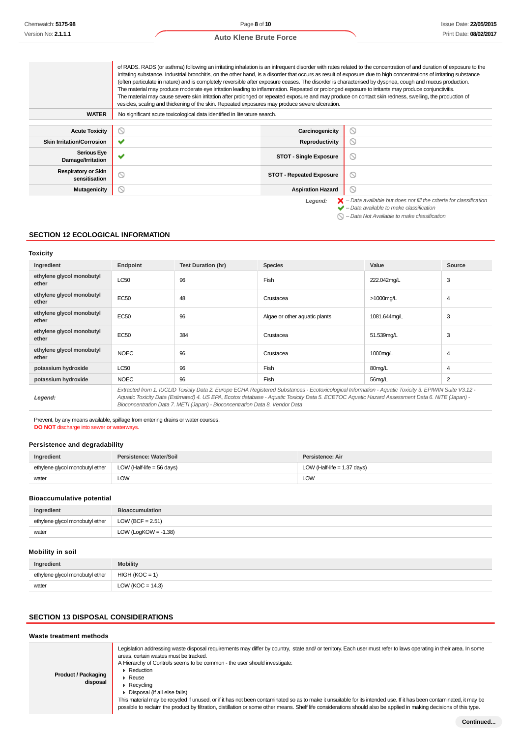|                                             | of RADS. RADS (or asthma) following an irritating inhalation is an infrequent disorder with rates related to the concentration of and duration of exposure to the<br>irritating substance. Industrial bronchitis, on the other hand, is a disorder that occurs as result of exposure due to high concentrations of irritating substance<br>(often particulate in nature) and is completely reversible after exposure ceases. The disorder is characterised by dyspnea, cough and mucus production.<br>The material may produce moderate eye irritation leading to inflammation. Repeated or prolonged exposure to irritants may produce conjunctivitis.<br>The material may cause severe skin irritation after prolonged or repeated exposure and may produce on contact skin redness, swelling, the production of<br>vesicles, scaling and thickening of the skin. Repeated exposures may produce severe ulceration. |                                 |                                                                                                                                                           |
|---------------------------------------------|-----------------------------------------------------------------------------------------------------------------------------------------------------------------------------------------------------------------------------------------------------------------------------------------------------------------------------------------------------------------------------------------------------------------------------------------------------------------------------------------------------------------------------------------------------------------------------------------------------------------------------------------------------------------------------------------------------------------------------------------------------------------------------------------------------------------------------------------------------------------------------------------------------------------------|---------------------------------|-----------------------------------------------------------------------------------------------------------------------------------------------------------|
| <b>WATER</b>                                | No significant acute toxicological data identified in literature search.                                                                                                                                                                                                                                                                                                                                                                                                                                                                                                                                                                                                                                                                                                                                                                                                                                              |                                 |                                                                                                                                                           |
| <b>Acute Toxicity</b>                       | N                                                                                                                                                                                                                                                                                                                                                                                                                                                                                                                                                                                                                                                                                                                                                                                                                                                                                                                     | Carcinogenicity                 | ◎                                                                                                                                                         |
| <b>Skin Irritation/Corrosion</b>            |                                                                                                                                                                                                                                                                                                                                                                                                                                                                                                                                                                                                                                                                                                                                                                                                                                                                                                                       | <b>Reproductivity</b>           | ₪                                                                                                                                                         |
| <b>Serious Eye</b><br>Damage/Irritation     |                                                                                                                                                                                                                                                                                                                                                                                                                                                                                                                                                                                                                                                                                                                                                                                                                                                                                                                       | <b>STOT - Single Exposure</b>   | $\circlearrowright$                                                                                                                                       |
| <b>Respiratory or Skin</b><br>sensitisation | ⊚                                                                                                                                                                                                                                                                                                                                                                                                                                                                                                                                                                                                                                                                                                                                                                                                                                                                                                                     | <b>STOT - Repeated Exposure</b> | ◎                                                                                                                                                         |
| <b>Mutagenicity</b>                         | $\circlearrowright$                                                                                                                                                                                                                                                                                                                                                                                                                                                                                                                                                                                                                                                                                                                                                                                                                                                                                                   | <b>Aspiration Hazard</b>        | Q                                                                                                                                                         |
|                                             |                                                                                                                                                                                                                                                                                                                                                                                                                                                                                                                                                                                                                                                                                                                                                                                                                                                                                                                       | Legend:                         | $\blacktriangleright$ - Data available but does not fill the criteria for classification<br>$\blacktriangleright$ - Data available to make classification |

 $\bigcirc$  – Data Not Available to make classification

## **SECTION 12 ECOLOGICAL INFORMATION**

## **Toxicity**

| Ingredient                         | Endpoint                                                                                                                                                                                                                                                                                                                                                                                 | <b>Test Duration (hr)</b> | <b>Species</b>                | Value        | Source |
|------------------------------------|------------------------------------------------------------------------------------------------------------------------------------------------------------------------------------------------------------------------------------------------------------------------------------------------------------------------------------------------------------------------------------------|---------------------------|-------------------------------|--------------|--------|
| ethylene glycol monobutyl<br>ether | <b>LC50</b>                                                                                                                                                                                                                                                                                                                                                                              | 96                        | Fish                          | 222.042mg/L  | 3      |
| ethylene glycol monobutyl<br>ether | EC50                                                                                                                                                                                                                                                                                                                                                                                     | 48                        | Crustacea                     | >1000mg/L    | 4      |
| ethylene glycol monobutyl<br>ether | EC50                                                                                                                                                                                                                                                                                                                                                                                     | 96                        | Algae or other aquatic plants | 1081.644mg/L | 3      |
| ethylene glycol monobutyl<br>ether | EC50                                                                                                                                                                                                                                                                                                                                                                                     | 384                       | Crustacea                     | 51.539mg/L   | 3      |
| ethylene glycol monobutyl<br>ether | <b>NOEC</b>                                                                                                                                                                                                                                                                                                                                                                              | 96                        | Crustacea                     | 1000mg/L     | 4      |
| potassium hydroxide                | <b>LC50</b>                                                                                                                                                                                                                                                                                                                                                                              | 96                        | Fish                          | 80mg/L       | 4      |
| potassium hydroxide                | <b>NOEC</b>                                                                                                                                                                                                                                                                                                                                                                              | 96                        | Fish                          | 56mg/L       | 2      |
| Legend:                            | Extracted from 1. IUCLID Toxicity Data 2. Europe ECHA Registered Substances - Ecotoxicological Information - Aquatic Toxicity 3. EPIWIN Suite V3.12 -<br>Aquatic Toxicity Data (Estimated) 4. US EPA, Ecotox database - Aquatic Toxicity Data 5. ECETOC Aquatic Hazard Assessment Data 6. NITE (Japan) -<br>Bioconcentration Data 7. METI (Japan) - Bioconcentration Data 8. Vendor Data |                           |                               |              |        |

Prevent, by any means available, spillage from entering drains or water courses. **DO NOT** discharge into sewer or waterways.

## **Persistence and degradability**

| Ingredient                      | Persistence: Water/Soil           | Persistence: Air              |
|---------------------------------|-----------------------------------|-------------------------------|
| ethylene glycol monobutyl ether | $\vert$ LOW (Half-life = 56 days) | LOW (Half-life $= 1.37$ days) |
| water                           | LOW                               | LOW.                          |

## **Bioaccumulative potential**

| Ingredient                      | <b>Bioaccumulation</b>  |
|---------------------------------|-------------------------|
| ethylene glycol monobutyl ether | LOW (BCF = $2.51$ )     |
| water                           | LOW (LogKOW = $-1.38$ ) |

# **Mobility in soil**

| Ingredient                      | <b>Mobility</b>      |
|---------------------------------|----------------------|
| ethylene glycol monobutyl ether | $HIGH (KOC = 1)$     |
| water                           | LOW ( $KOC = 14.3$ ) |

## **SECTION 13 DISPOSAL CONSIDERATIONS**

## **Waste treatment methods**

| <b>Product / Packaging</b><br>disposal | Legislation addressing waste disposal requirements may differ by country, state and/ or territory. Each user must refer to laws operating in their area. In some<br>areas, certain wastes must be tracked.<br>A Hierarchy of Controls seems to be common - the user should investigate:<br>Reduction<br>$\triangleright$ Reuse<br>$\triangleright$ Recvoling<br>▶ Disposal (if all else fails)<br>This material may be recycled if unused, or if it has not been contaminated so as to make it unsuitable for its intended use. If it has been contaminated, it may be<br>possible to reclaim the product by filtration, distillation or some other means. Shelf life considerations should also be applied in making decisions of this type. |
|----------------------------------------|-----------------------------------------------------------------------------------------------------------------------------------------------------------------------------------------------------------------------------------------------------------------------------------------------------------------------------------------------------------------------------------------------------------------------------------------------------------------------------------------------------------------------------------------------------------------------------------------------------------------------------------------------------------------------------------------------------------------------------------------------|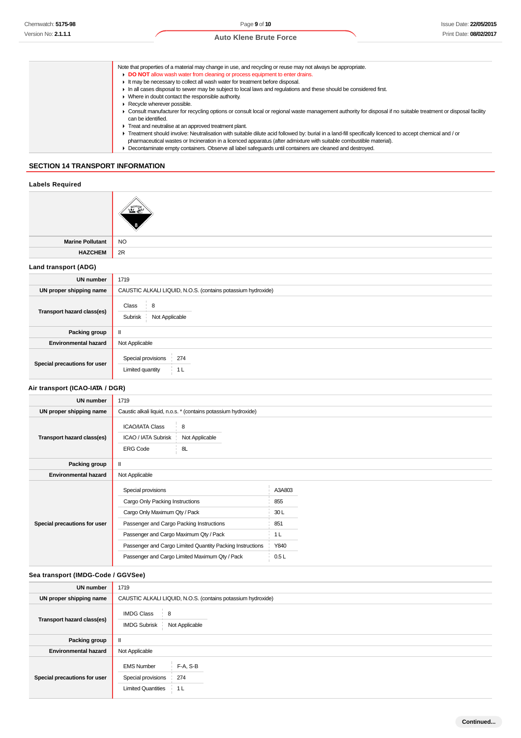- Note that properties of a material may change in use, and recycling or reuse may not always be appropriate. **DO NOT** allow wash water from cleaning or process equipment to enter drains. ► It may be necessary to collect all wash water for treatment before disposal. In all cases disposal to sewer may be subject to local laws and regulations and these should be considered first. Where in doubt contact the responsible authority. Recycle wherever possible. Consult manufacturer for recycling options or consult local or regional waste management authority for disposal if no suitable treatment or disposal facility can be identified. ► Treat and neutralise at an approved treatment plant. Treatment should involve: Neutralisation with suitable dilute acid followed by: burial in a land-fill specifically licenced to accept chemical and / or pharmaceutical wastes or Incineration in a licenced apparatus (after admixture with suitable combustible material).
	- Decontaminate empty containers. Observe all label safeguards until containers are cleaned and destroyed.

## **SECTION 14 TRANSPORT INFORMATION**

## **Labels Required**



**Marine Pollutant** NO **HAZCHEM** 2R

#### **Land transport (ADG)**

| <b>UN number</b>             | 1719                                                         |  |  |
|------------------------------|--------------------------------------------------------------|--|--|
| UN proper shipping name      | CAUSTIC ALKALI LIQUID, N.O.S. (contains potassium hydroxide) |  |  |
| Transport hazard class(es)   | Class<br>8<br>Subrisk<br>Not Applicable                      |  |  |
| Packing group                | $\mathbf{II}$                                                |  |  |
| <b>Environmental hazard</b>  | Not Applicable                                               |  |  |
| Special precautions for user | Special provisions<br>274<br>Limited quantity<br>i 1∟        |  |  |

## **Air transport (ICAO-IATA / DGR)**

| <b>UN number</b>             | 1719                                                                                                                                                                                                                                                                                        |                                                               |  |
|------------------------------|---------------------------------------------------------------------------------------------------------------------------------------------------------------------------------------------------------------------------------------------------------------------------------------------|---------------------------------------------------------------|--|
| UN proper shipping name      | Caustic alkali liquid, n.o.s. * (contains potassium hydroxide)                                                                                                                                                                                                                              |                                                               |  |
| Transport hazard class(es)   | <b>ICAO/IATA Class</b><br>8<br>Not Applicable<br>ICAO / IATA Subrisk<br>8L<br><b>ERG Code</b>                                                                                                                                                                                               |                                                               |  |
| Packing group                |                                                                                                                                                                                                                                                                                             |                                                               |  |
| <b>Environmental hazard</b>  | Not Applicable                                                                                                                                                                                                                                                                              |                                                               |  |
| Special precautions for user | Special provisions<br>Cargo Only Packing Instructions<br>Cargo Only Maximum Qty / Pack<br>Passenger and Cargo Packing Instructions<br>Passenger and Cargo Maximum Qty / Pack<br>Passenger and Cargo Limited Quantity Packing Instructions<br>Passenger and Cargo Limited Maximum Qty / Pack | A3A803<br>855<br>30L<br>851<br>1 <sub>L</sub><br>Y840<br>0.5L |  |

#### **Sea transport (IMDG-Code / GGVSee)**

| <b>UN number</b>             | 1719                                                                                                      |  |  |
|------------------------------|-----------------------------------------------------------------------------------------------------------|--|--|
| UN proper shipping name      | CAUSTIC ALKALI LIQUID, N.O.S. (contains potassium hydroxide)                                              |  |  |
| Transport hazard class(es)   | <b>IMDG Class</b><br>8<br>Not Applicable<br><b>IMDG Subrisk</b>                                           |  |  |
| Packing group                | $\mathbf{I}$                                                                                              |  |  |
| <b>Environmental hazard</b>  | Not Applicable                                                                                            |  |  |
| Special precautions for user | F-A, S-B<br><b>EMS Number</b><br>Special provisions<br>274<br><b>Limited Quantities</b><br>1 <sub>L</sub> |  |  |